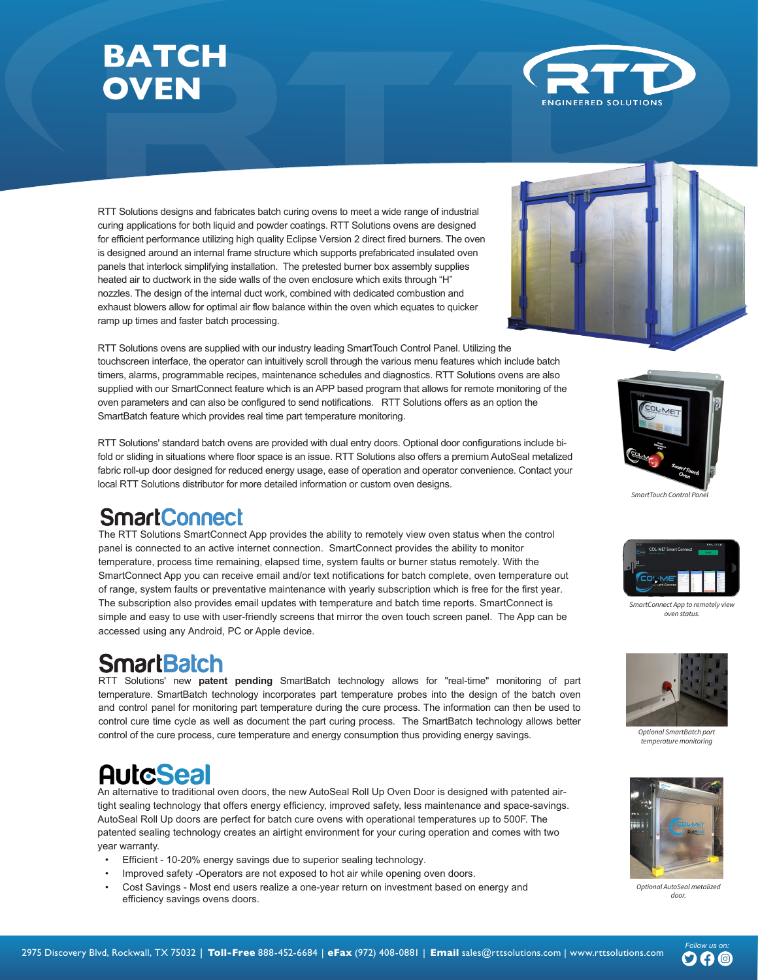



- 
- 
- **‡ )ORZ0HWUV**
- 
- 
- **D** 2D **‡ %ORZI)DQV**
- $\mathsf{T}\left\{\mathsf{a}\bullet\mathsf{C}\right\}$ \*  $\mathsf{C}\left\{\mathsf{a}\bullet\mathsf{C}\right\}$  $Ox^*$  Øå $|c^{\wedge}|$ •
- 
- 
- 
- 
- 
- $\hat{O}$ @^{i&æ|Ø^^å $\hat{O}$ ~`i]{^}c
- 
- 
- 
- 
- 0} "|æc^å cæ} \ •
- 
- **‡ &RXQWHU)ORZ3LSQJ**
- **Options**
- æ}å ÞØÚŒ ¦^\* ˇ |æci[ }•È
- Š[¸ ¸æ^¦ •æ~^c^ ¸å&@å}•æ||^å [}æ|| @^æc^å •æ\*^• c[ ]¦[c^&c c@^ à~¦}^¦ c~åå}\*Ė Yæ•@^¦• { æ} `-æ&c`¦^å à^ Ô[|ËT^c { ^^c æ}ål[¦ ^¢&^^å æ|| æ]]|i&æà|^ UÙPŒ
- $0$  $\infty$ \*^• {æ}`~æ& $\infty$ ' $\infty$ }  $\infty$   $\infty$   $\infty$   $\setminus$   $\setminus$   $\setminus$   $\setminus$   $\setminus$   $\setminus$   $\setminus$   $\setminus$   $\setminus$   $\setminus$   $\setminus$   $\setminus$   $\setminus$   $\setminus$   $\setminus$   $\setminus$   $\setminus$   $\setminus$   $\setminus$   $\setminus$   $\setminus$   $\setminus$   $\setminus$   $\setminus$   $\setminus$   $\setminus$   $\setminus$   $\setminus$   $\set$ c@^¦^&å¦&~|æc^å •[|~cá[}É
- $\}$ [ $::$ |^ ] $\sim$ |^e\* $\sim$
- Væ}\V<sup>\*</sup>¦} Üæcå}\* H c[F { å}å {  $\check{ }$  {  $\dot{E}$ CE|| Ú ˇ { ] T [c[¦• æ¦^ çæ¦åæà|^ -¦^ ˘ ˘^}& ˆ å¦åç^ ÇXØÖD c[ à^œ^¦ & [ }c¦ [| c@^
- ^~~å&å^}&å^• [~ÏÍà c[Ì€ÃÈ
- Ôæ&@ ]¦[&^•• ¸æ•@^¦ ˇci|i:^• æ }[::|^Ë{i¢ cˇà^Ë-i¦i}\* àˇ¦}^¦ å^•i\*}^å c[ -å¦∧æc @å\*@ ç^|[&åcå^• c@¦[ˇ\*@ • { æ||Ëååæ { ^c^¦Ê F€ •cæå}|^•• •c^^| •^¦]^}cå}^ i{{^¦•i[}c~à^•ÈV@^&[{à~∘ci[}\*æ•^• ~¦[{c@^à~¦}^¦•&¦~àc@^i}}^¦c~à^  $\bullet$  '|~æ&^ æ}å ]¦[å \&^ @i\*@ @^æc c¦æ} •~^¦ ¦æc^•È V@^•^ ~^æc '|^• æ||[ ¸ ~[¦ •^•c^ {
- Yæ•@^¦•æ¦^å}~[¦&^åà^æ&[}cå}\*[\*•]åc&@^å\*¦å||\*}å^¦c@^¸æ•@^¦cæ}\æ}å  $\mathbb{E}[\mathcal{L}^*] \cap \{ \mathcal{L}^* \cap \mathcal{L}^* \}$  and  $\{ \mathcal{L}^* \}$  and  $\{ \mathcal{L}^* \}$  and  $\{ \mathcal{L}^* \}$  is  $\mathcal{L}^* \cap \{ \mathcal{L}^* \}$  and  $\{ \mathcal{L}^* \}$  and  $\{ \mathcal{L}^* \}$  and  $\{ \mathcal{L}^* \}$  and  $\{ \mathcal{L}^* \}$  and  $\{ \mathcal{L}^* \}$  $\sim$ læ { ^ æ|| cæ} \ |åå• æ}å ] ˇ { ] ]|æ $\sim$ •È
- ]¦[çãå^• ^æ•^ {æā}c^}æ}&^È  $E \otimes \wedge \wedge E$   $K \otimes \wedge E$   $K \otimes \wedge E$   $\{ \wedge \wedge \wedge E\}$   $[ \{ \} \wedge \wedge \wedge E\}$   $[ \{ \} \wedge \wedge \wedge E\}$   $[ \{ \} \wedge \wedge E\}$   $[ \{ \} \wedge \wedge E\}$   $[ \{ \} \wedge E\}$   $[ \{ \} \wedge E\}$   $[ \{ \} \wedge E\}$   $[ \{ \} \wedge E\}$   $[ \{ \} \wedge E\}$   $[ \{ \} \wedge E\}$   $[ \{ \} \wedge E$  $\hat{a} \triangleq \hat{a}$  and  $\hat{a} \triangleq \hat{a}$  and  $\hat{b}$  and  $\hat{c}$  and  $\hat{c}$  and  $\hat{c}$  and  $\hat{c}$  and  $\hat{c}$  and  $\hat{c}$  and  $\hat{c}$  and  $\hat{c}$  and  $\hat{c}$  and  $\hat{c}$  and  $\hat{c}$  and  $\hat{c}$  and  $\hat{c}$  and  $\hat{c}$  and
- 
- **EOOO**□  $\blacksquare$  **<b>FOOEOOO**
- **D** OEOOH
- 

- 
- 
- 
- 
- 
- 
- **Features**
- 

*SDUWVDQGWKHWLPHDORWHGIRUWKHSDUWVRSDVWKURXJKWHZDVKHU*

- $\Box$
- *V\WHPVSHFL¿FWR\XUQHGVWDNLQJLQWRFRQVLGHUDWLRQWKHVL]HRIWKH*
- 
- $\bm{H}$
- П *UXQGRZQWKHVLGHZDOVDQGDZ\IURPDQ\SDUWV*
- *EHQGHVLJQHGZLWKHQFHVDU\VWLIHQUVDQGVWUXFWXUHVXSRUW IRUWKHFRQYH\RU\$VORSHGURIGHVLJQDORZVFRQGHVGZDWHUWR*
- *WHFKQROJ\7RJHWKUZHKDYHGVLJQHGRXUZDVKHUVDURXQG*
- *FRQMXFWLRQZLWKFKHPLFDOVXSOLHUVWRDVXUHWKH\PHWKH VWDQGUVDRFLDWHGZLWKHODWHVLQFKHPLFDOSUHWDPHQW PLQ]LQJPDLQWHDQFHDQGLQFUHDVLQJPDFKLQHOLIH7KH\KDYH*

*&RO0HW V0XOWL6WDJH:DVKHU6\VWHPVKDYHEQGHVLJQHGLQ*

*1908-78%+)*

*463')7;%7,)6*